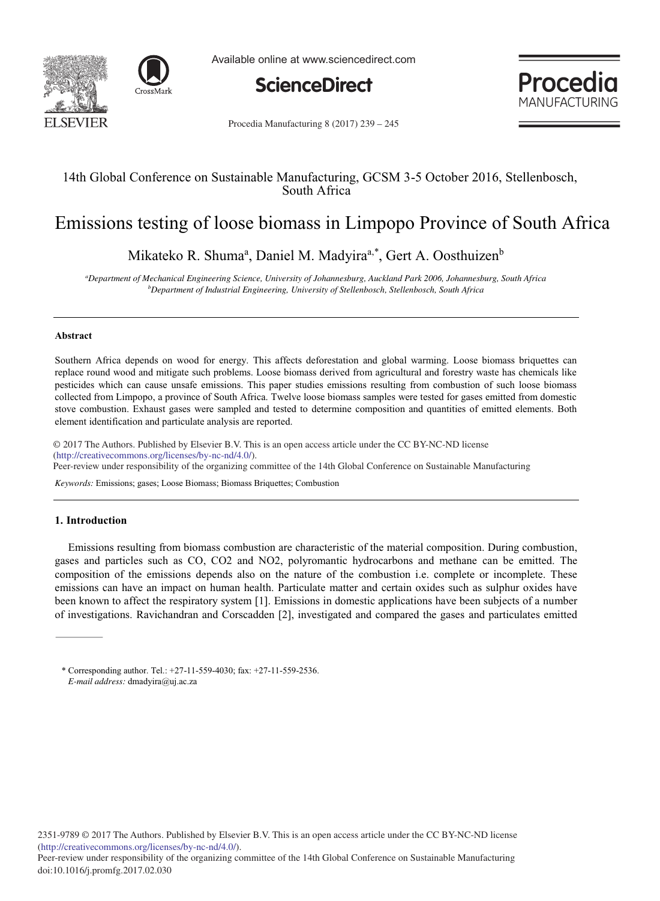



Available online at www.sciencedirect.com



Procedia **MANUFACTURING** 

Procedia Manufacturing 8 (2017) 239 - 245

## 14th Global Conference on Sustainable Manufacturing, GCSM 3-5 October 2016, Stellenbosch, South Africa

# Emissions testing of loose biomass in Limpopo Province of South Africa

Mikateko R. Shuma<sup>a</sup>, Daniel M. Madyira<sup>a,\*</sup>, Gert A. Oosthuizen<sup>b</sup>

*a Department of Mechanical Engineering Science, University of Johannesburg, Auckland Park 2006, Johannesburg, South Africa b Department of Industrial Engineering, University of Stellenbosch, Stellenbosch, South Africa* 

#### **Abstract**

Southern Africa depends on wood for energy. This affects deforestation and global warming. Loose biomass briquettes can replace round wood and mitigate such problems. Loose biomass derived from agricultural and forestry waste has chemicals like pesticides which can cause unsafe emissions. This paper studies emissions resulting from combustion of such loose biomass collected from Limpopo, a province of South Africa. Twelve loose biomass samples were tested for gases emitted from domestic stove combustion. Exhaust gases were sampled and tested to determine composition and quantities of emitted elements. Both element identification and particulate analysis are reported.

© 2016 The Authors. Published by Elsevier B.V. © 2017 The Authors. Published by Elsevier B.V. This is an open access article under the CC BY-NC-ND license (nup://creauvecommons.org/ncenses/by-nc-nq/4.0/).<br>Peer-review under responsibility of the organizing committee of the 14th Global Conference on Sustainable Manufacturing (http://creativecommons.org/licenses/by-nc-nd/4.0/).

*Keywords:* Emissions; gases; Loose Biomass; Biomass Briquettes; Combustion

#### **1. Introduction**

Emissions resulting from biomass combustion are characteristic of the material composition. During combustion, gases and particles such as CO, CO2 and NO2, polyromantic hydrocarbons and methane can be emitted. The composition of the emissions depends also on the nature of the combustion i.e. complete or incomplete. These emissions can have an impact on human health. Particulate matter and certain oxides such as sulphur oxides have been known to affect the respiratory system [1]. Emissions in domestic applications have been subjects of a number of investigations. Ravichandran and Corscadden [2], investigated and compared the gases and particulates emitted

<sup>\*</sup> Corresponding author. Tel.: +27-11-559-4030; fax: +27-11-559-2536. *E-mail address:* dmadyira@uj.ac.za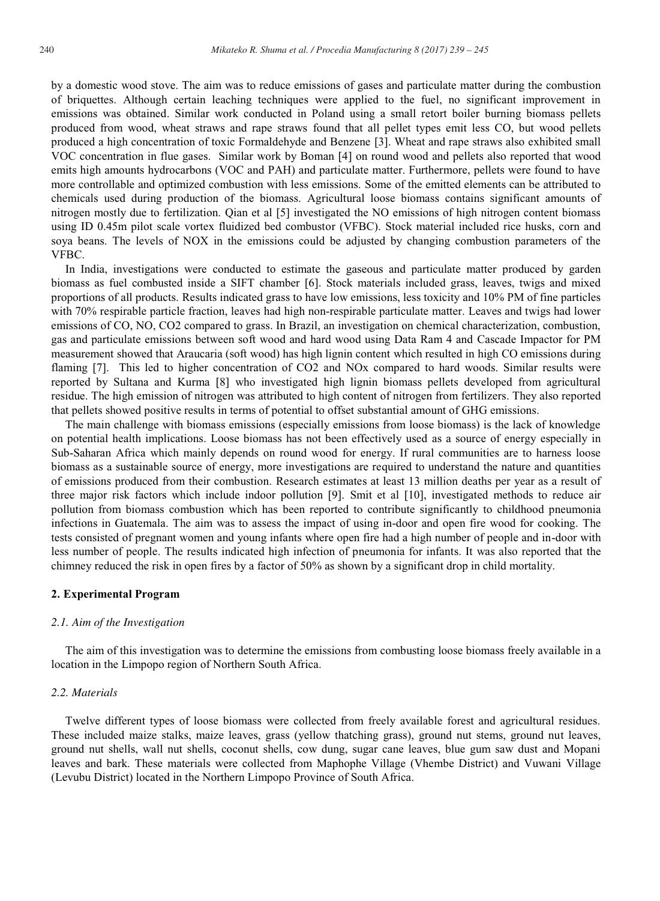by a domestic wood stove. The aim was to reduce emissions of gases and particulate matter during the combustion of briquettes. Although certain leaching techniques were applied to the fuel, no significant improvement in emissions was obtained. Similar work conducted in Poland using a small retort boiler burning biomass pellets produced from wood, wheat straws and rape straws found that all pellet types emit less CO, but wood pellets produced a high concentration of toxic Formaldehyde and Benzene [3]. Wheat and rape straws also exhibited small VOC concentration in flue gases. Similar work by Boman [4] on round wood and pellets also reported that wood emits high amounts hydrocarbons (VOC and PAH) and particulate matter. Furthermore, pellets were found to have more controllable and optimized combustion with less emissions. Some of the emitted elements can be attributed to chemicals used during production of the biomass. Agricultural loose biomass contains significant amounts of nitrogen mostly due to fertilization. Qian et al [5] investigated the NO emissions of high nitrogen content biomass using ID 0.45m pilot scale vortex fluidized bed combustor (VFBC). Stock material included rice husks, corn and soya beans. The levels of NOX in the emissions could be adjusted by changing combustion parameters of the VFBC.

In India, investigations were conducted to estimate the gaseous and particulate matter produced by garden biomass as fuel combusted inside a SIFT chamber [6]. Stock materials included grass, leaves, twigs and mixed proportions of all products. Results indicated grass to have low emissions, less toxicity and 10% PM of fine particles with 70% respirable particle fraction, leaves had high non-respirable particulate matter. Leaves and twigs had lower emissions of CO, NO, CO2 compared to grass. In Brazil, an investigation on chemical characterization, combustion, gas and particulate emissions between soft wood and hard wood using Data Ram 4 and Cascade Impactor for PM measurement showed that Araucaria (soft wood) has high lignin content which resulted in high CO emissions during flaming [7]. This led to higher concentration of CO2 and NOx compared to hard woods. Similar results were reported by Sultana and Kurma [8] who investigated high lignin biomass pellets developed from agricultural residue. The high emission of nitrogen was attributed to high content of nitrogen from fertilizers. They also reported that pellets showed positive results in terms of potential to offset substantial amount of GHG emissions.

The main challenge with biomass emissions (especially emissions from loose biomass) is the lack of knowledge on potential health implications. Loose biomass has not been effectively used as a source of energy especially in Sub-Saharan Africa which mainly depends on round wood for energy. If rural communities are to harness loose biomass as a sustainable source of energy, more investigations are required to understand the nature and quantities of emissions produced from their combustion. Research estimates at least 13 million deaths per year as a result of three major risk factors which include indoor pollution [9]. Smit et al [10], investigated methods to reduce air pollution from biomass combustion which has been reported to contribute significantly to childhood pneumonia infections in Guatemala. The aim was to assess the impact of using in-door and open fire wood for cooking. The tests consisted of pregnant women and young infants where open fire had a high number of people and in-door with less number of people. The results indicated high infection of pneumonia for infants. It was also reported that the chimney reduced the risk in open fires by a factor of 50% as shown by a significant drop in child mortality.

#### **2. Experimental Program**

## *2.1. Aim of the Investigation*

The aim of this investigation was to determine the emissions from combusting loose biomass freely available in a location in the Limpopo region of Northern South Africa.

#### *2.2. Materials*

Twelve different types of loose biomass were collected from freely available forest and agricultural residues. These included maize stalks, maize leaves, grass (yellow thatching grass), ground nut stems, ground nut leaves, ground nut shells, wall nut shells, coconut shells, cow dung, sugar cane leaves, blue gum saw dust and Mopani leaves and bark. These materials were collected from Maphophe Village (Vhembe District) and Vuwani Village (Levubu District) located in the Northern Limpopo Province of South Africa.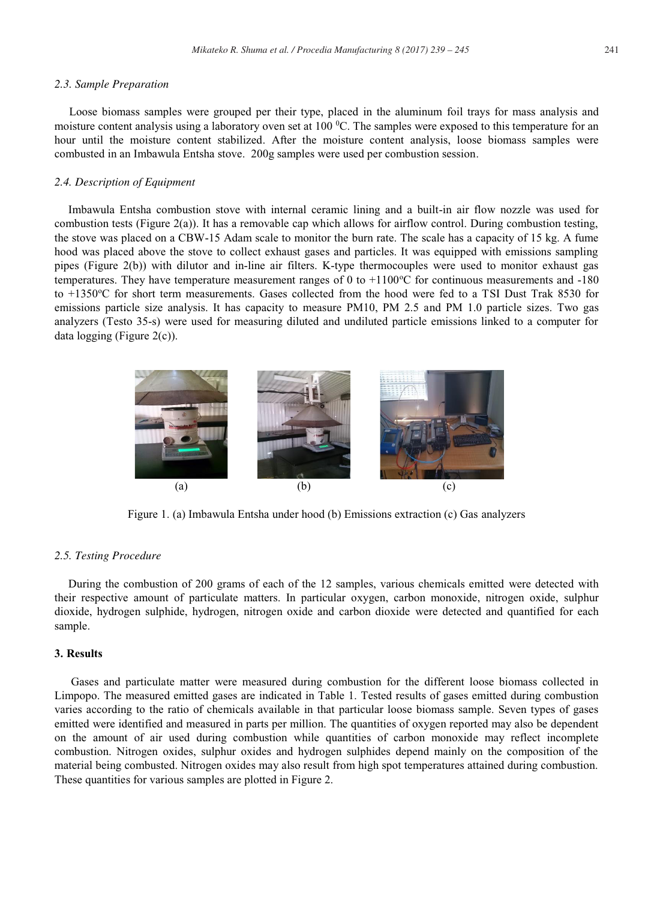## *2.3. Sample Preparation*

 Loose biomass samples were grouped per their type, placed in the aluminum foil trays for mass analysis and moisture content analysis using a laboratory oven set at  $100<sup>o</sup>C$ . The samples were exposed to this temperature for an hour until the moisture content stabilized. After the moisture content analysis, loose biomass samples were combusted in an Imbawula Entsha stove. 200g samples were used per combustion session.

## *2.4. Description of Equipment*

Imbawula Entsha combustion stove with internal ceramic lining and a built-in air flow nozzle was used for combustion tests (Figure 2(a)). It has a removable cap which allows for airflow control. During combustion testing, the stove was placed on a CBW-15 Adam scale to monitor the burn rate. The scale has a capacity of 15 kg. A fume hood was placed above the stove to collect exhaust gases and particles. It was equipped with emissions sampling pipes (Figure 2(b)) with dilutor and in-line air filters. K-type thermocouples were used to monitor exhaust gas temperatures. They have temperature measurement ranges of 0 to +1100 °C for continuous measurements and -180 to +1350°C for short term measurements. Gases collected from the hood were fed to a TSI Dust Trak 8530 for emissions particle size analysis. It has capacity to measure PM10, PM 2.5 and PM 1.0 particle sizes. Two gas analyzers (Testo 35-s) were used for measuring diluted and undiluted particle emissions linked to a computer for data logging (Figure 2(c)).



Figure 1. (a) Imbawula Entsha under hood (b) Emissions extraction (c) Gas analyzers

## *2.5. Testing Procedure*

During the combustion of 200 grams of each of the 12 samples, various chemicals emitted were detected with their respective amount of particulate matters. In particular oxygen, carbon monoxide, nitrogen oxide, sulphur dioxide, hydrogen sulphide, hydrogen, nitrogen oxide and carbon dioxide were detected and quantified for each sample.

## **3. Results**

Gases and particulate matter were measured during combustion for the different loose biomass collected in Limpopo. The measured emitted gases are indicated in Table 1. Tested results of gases emitted during combustion varies according to the ratio of chemicals available in that particular loose biomass sample. Seven types of gases emitted were identified and measured in parts per million. The quantities of oxygen reported may also be dependent on the amount of air used during combustion while quantities of carbon monoxide may reflect incomplete combustion. Nitrogen oxides, sulphur oxides and hydrogen sulphides depend mainly on the composition of the material being combusted. Nitrogen oxides may also result from high spot temperatures attained during combustion. These quantities for various samples are plotted in Figure 2.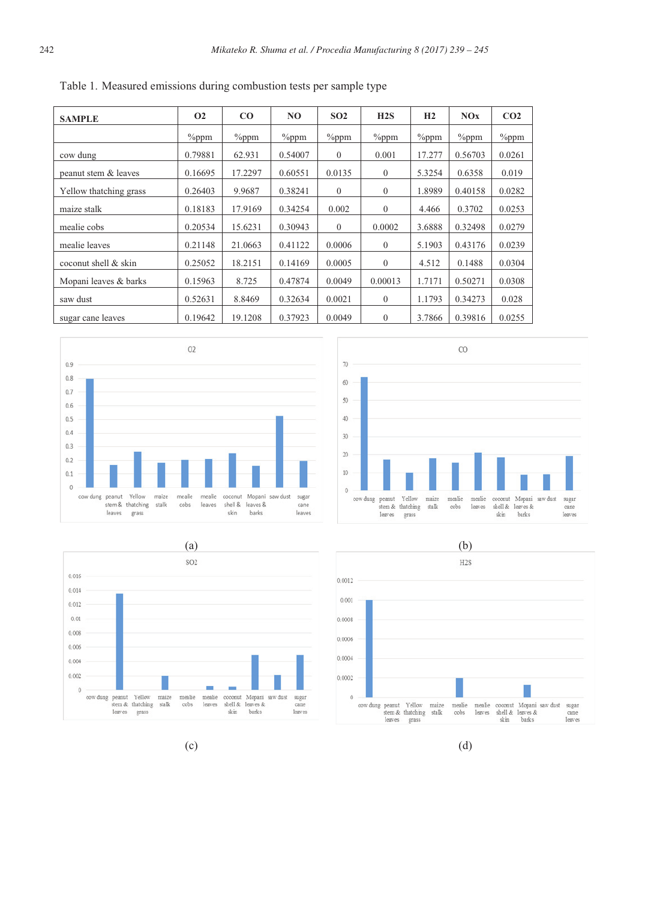| <b>SAMPLE</b>          | <b>O<sub>2</sub></b> | $\bf{CO}$ | NO.      | SO <sub>2</sub> | H2S            | H2       | NOX      | CO <sub>2</sub> |
|------------------------|----------------------|-----------|----------|-----------------|----------------|----------|----------|-----------------|
|                        | $\%$ ppm             | $\%$ ppm  | $\%$ ppm | $\%$ ppm        | $\%$ ppm       | $\%$ ppm | $\%$ ppm | $\%$ ppm        |
| cow dung               | 0.79881              | 62.931    | 0.54007  | $\mathbf{0}$    | 0.001          | 17.277   | 0.56703  | 0.0261          |
| peanut stem & leaves   | 0.16695              | 17.2297   | 0.60551  | 0.0135          | $\overline{0}$ | 5.3254   | 0.6358   | 0.019           |
| Yellow thatching grass | 0.26403              | 9.9687    | 0.38241  | $\mathbf{0}$    | $\overline{0}$ | 1.8989   | 0.40158  | 0.0282          |
| maize stalk            | 0.18183              | 17.9169   | 0.34254  | 0.002           | $\theta$       | 4.466    | 0.3702   | 0.0253          |
| mealie cobs            | 0.20534              | 15.6231   | 0.30943  | $\Omega$        | 0.0002         | 3.6888   | 0.32498  | 0.0279          |
| mealie leaves          | 0.21148              | 21.0663   | 0.41122  | 0.0006          | $\theta$       | 5.1903   | 0.43176  | 0.0239          |
| coconut shell & skin   | 0.25052              | 18.2151   | 0.14169  | 0.0005          | $\theta$       | 4.512    | 0.1488   | 0.0304          |
| Mopani leaves & barks  | 0.15963              | 8.725     | 0.47874  | 0.0049          | 0.00013        | 1.7171   | 0.50271  | 0.0308          |
| saw dust               | 0.52631              | 8.8469    | 0.32634  | 0.0021          | $\theta$       | 1.1793   | 0.34273  | 0.028           |
| sugar cane leaves      | 0.19642              | 19.1208   | 0.37923  | 0.0049          | $\theta$       | 3.7866   | 0.39816  | 0.0255          |

Table 1. Measured emissions during combustion tests per sample type











 $(c)$  (d)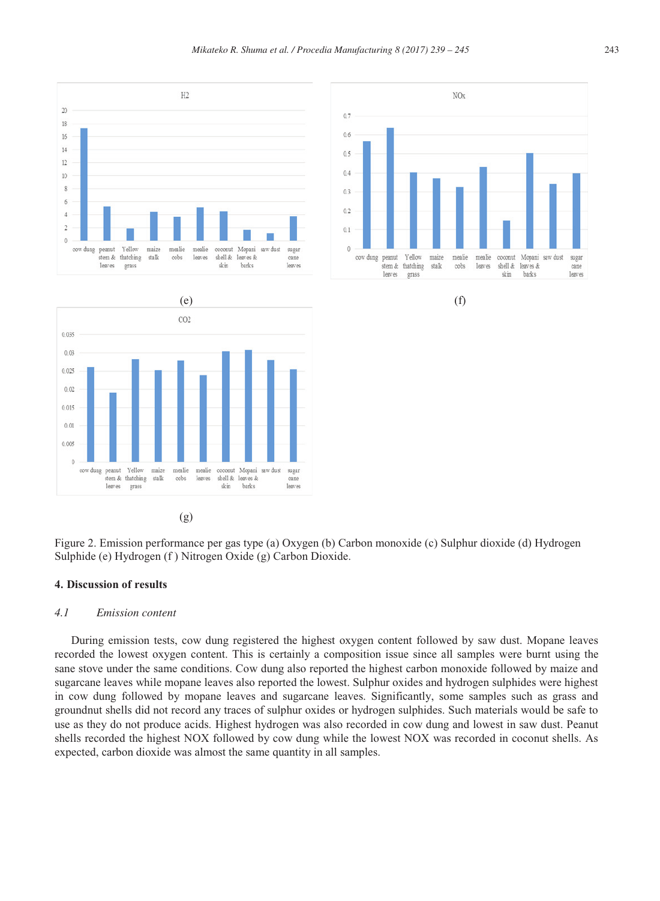Figure 2. Emission performance per gas type (a) Oxygen (b) Carbon monoxide (c) Sulphur dioxide (d) Hydrogen Sulphide (e) Hydrogen (f ) Nitrogen Oxide (g) Carbon Dioxide.

cane

leaves

barks

skin

## **4. Discussion of results**

stem & thatching

leaves grass stall cobs leaves shell  $\&$ leaves &

0.035  $0.03$  $0.021$  $0.02$  $0.015$  $0.01$  $0.005$  $\theta$ cow dung peanut Yellow maize mealie mealie coconut Mopani saw dust sugar

#### *4.1 Emission content*

During emission tests, cow dung registered the highest oxygen content followed by saw dust. Mopane leaves recorded the lowest oxygen content. This is certainly a composition issue since all samples were burnt using the sane stove under the same conditions. Cow dung also reported the highest carbon monoxide followed by maize and sugarcane leaves while mopane leaves also reported the lowest. Sulphur oxides and hydrogen sulphides were highest in cow dung followed by mopane leaves and sugarcane leaves. Significantly, some samples such as grass and groundnut shells did not record any traces of sulphur oxides or hydrogen sulphides. Such materials would be safe to use as they do not produce acids. Highest hydrogen was also recorded in cow dung and lowest in saw dust. Peanut shells recorded the highest NOX followed by cow dung while the lowest NOX was recorded in coconut shells. As expected, carbon dioxide was almost the same quantity in all samples.



 $CO<sub>2</sub>$ 

(g)



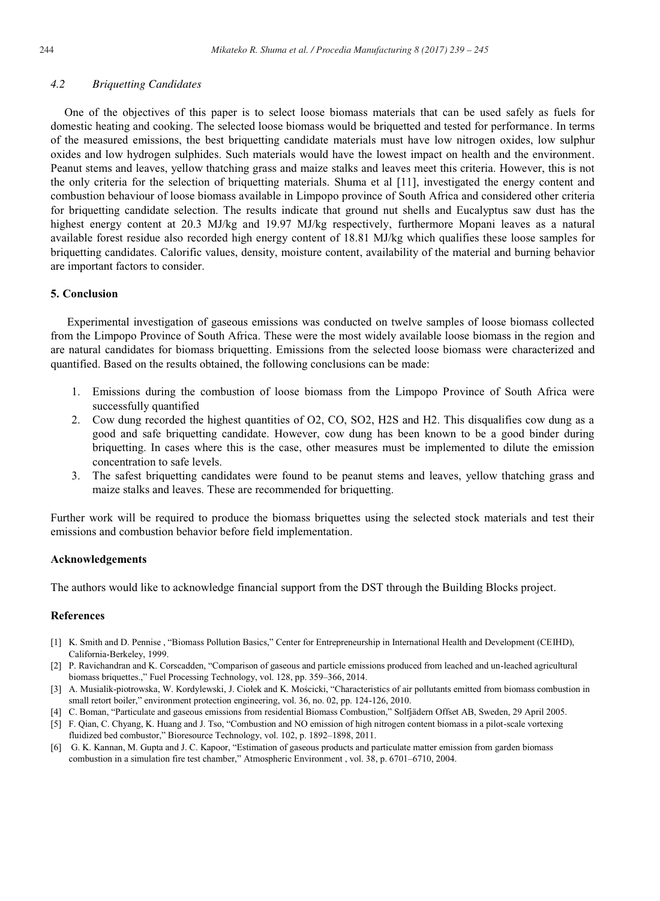One of the objectives of this paper is to select loose biomass materials that can be used safely as fuels for domestic heating and cooking. The selected loose biomass would be briquetted and tested for performance. In terms of the measured emissions, the best briquetting candidate materials must have low nitrogen oxides, low sulphur oxides and low hydrogen sulphides. Such materials would have the lowest impact on health and the environment. Peanut stems and leaves, yellow thatching grass and maize stalks and leaves meet this criteria. However, this is not the only criteria for the selection of briquetting materials. Shuma et al [11], investigated the energy content and combustion behaviour of loose biomass available in Limpopo province of South Africa and considered other criteria for briquetting candidate selection. The results indicate that ground nut shells and Eucalyptus saw dust has the highest energy content at 20.3 MJ/kg and 19.97 MJ/kg respectively, furthermore Mopani leaves as a natural available forest residue also recorded high energy content of 18.81 MJ/kg which qualifies these loose samples for briquetting candidates. Calorific values, density, moisture content, availability of the material and burning behavior are important factors to consider.

## **5. Conclusion**

Experimental investigation of gaseous emissions was conducted on twelve samples of loose biomass collected from the Limpopo Province of South Africa. These were the most widely available loose biomass in the region and are natural candidates for biomass briquetting. Emissions from the selected loose biomass were characterized and quantified. Based on the results obtained, the following conclusions can be made:

- 1. Emissions during the combustion of loose biomass from the Limpopo Province of South Africa were successfully quantified
- 2. Cow dung recorded the highest quantities of O2, CO, SO2, H2S and H2. This disqualifies cow dung as a good and safe briquetting candidate. However, cow dung has been known to be a good binder during briquetting. In cases where this is the case, other measures must be implemented to dilute the emission concentration to safe levels.
- 3. The safest briquetting candidates were found to be peanut stems and leaves, yellow thatching grass and maize stalks and leaves. These are recommended for briquetting.

Further work will be required to produce the biomass briquettes using the selected stock materials and test their emissions and combustion behavior before field implementation.

## **Acknowledgements**

The authors would like to acknowledge financial support from the DST through the Building Blocks project.

## **References**

- [1] K. Smith and D. Pennise , "Biomass Pollution Basics," Center for Entrepreneurship in International Health and Development (CEIHD), California-Berkeley, 1999.
- [2] P. Ravichandran and K. Corscadden, "Comparison of gaseous and particle emissions produced from leached and un-leached agricultural biomass briquettes.," Fuel Processing Technology, vol. 128, pp. 359–366, 2014.
- [3] A. Musialik-piotrowska, W. Kordylewski, J. Ciołek and K. Mościcki, "Characteristics of air pollutants emitted from biomass combustion in small retort boiler," environment protection engineering, vol. 36, no. 02, pp. 124-126, 2010.
- [4] C. Boman, "Particulate and gaseous emissions from residential Biomass Combustion," Solfjädern Offset AB, Sweden, 29 April 2005.
- [5] F. Qian, C. Chyang, K. Huang and J. Tso, "Combustion and NO emission of high nitrogen content biomass in a pilot-scale vortexing fluidized bed combustor," Bioresource Technology, vol. 102, p. 1892–1898, 2011.
- [6] G. K. Kannan, M. Gupta and J. C. Kapoor, "Estimation of gaseous products and particulate matter emission from garden biomass combustion in a simulation fire test chamber," Atmospheric Environment , vol. 38, p. 6701–6710, 2004.